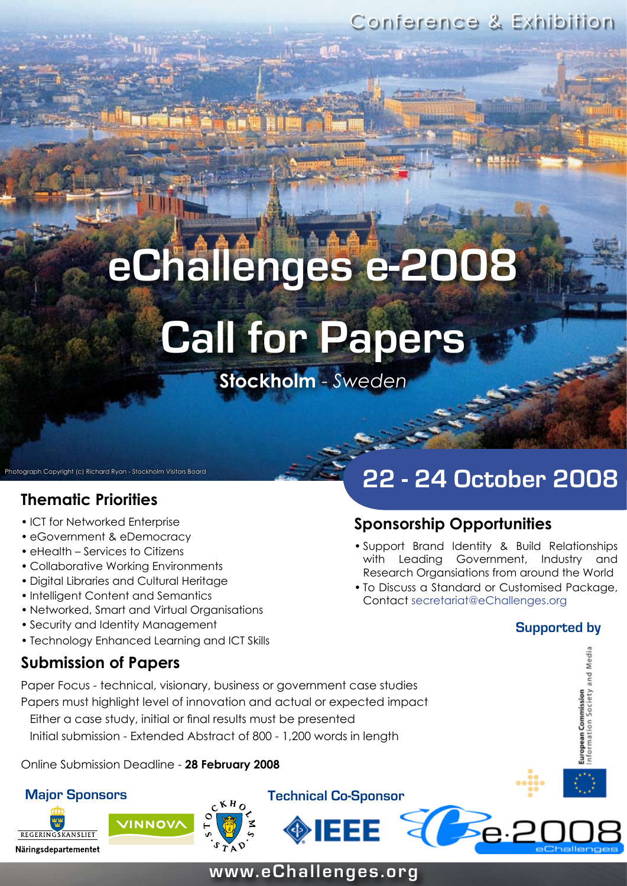Conference & Exhibition

# **eChallenges e-2008 Call for Papers**

**Stockholm** - *Sweden*

# **Thematic Priorities**

- ICT for Networked Enterprise
- eGovernment & eDemocracy

iotograph Copyright (c) Richard Ryan - Stockholm Visitors Board

- eHealth Services to Citizens
- Collaborative Working Environments •
- Digital Libraries and Cultural Heritage •
- Intelligent Content and Semantics
- Networked, Smart and Virtual Organisations •
- Security and Identity Management
- Technology Enhanced Learning and ICT Skills

# **22 - 24 October 2008**

# **Sponsorship Opportunities**

- Support Brand Identity & Build Relationships with Leading Government, Industry and Research Organsiations from around the World
- To Discuss a Standard or Customised Package, Contact secretariat@eChallenges.org

### **Supported by**